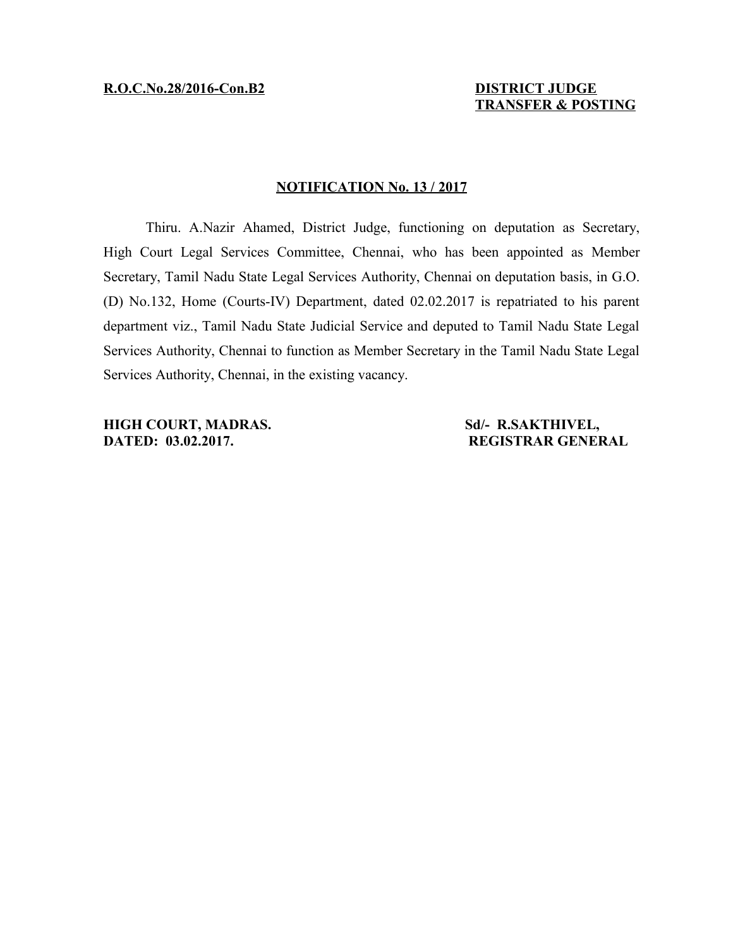## **NOTIFICATION No. 13 / 2017**

Thiru. A.Nazir Ahamed, District Judge, functioning on deputation as Secretary, High Court Legal Services Committee, Chennai, who has been appointed as Member Secretary, Tamil Nadu State Legal Services Authority, Chennai on deputation basis, in G.O. (D) No.132, Home (Courts-IV) Department, dated 02.02.2017 is repatriated to his parent department viz., Tamil Nadu State Judicial Service and deputed to Tamil Nadu State Legal Services Authority, Chennai to function as Member Secretary in the Tamil Nadu State Legal Services Authority, Chennai, in the existing vacancy.

**HIGH COURT, MADRAS.** Sd/- R.SAKTHIVEL, **DATED: 03.02.2017.** REGISTRAR GENERAL